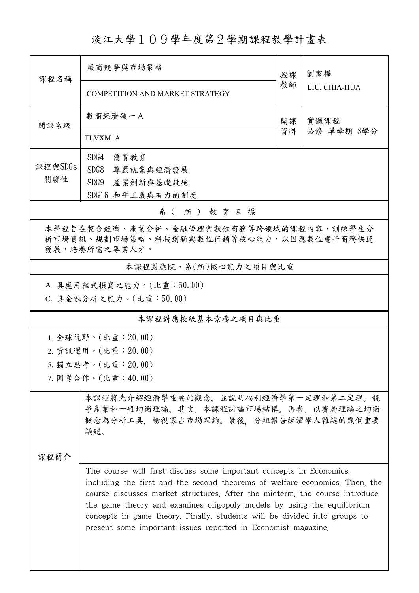淡江大學109學年度第2學期課程教學計畫表

| 課程名稱                                                                                                                     | 廠商競爭與市場策略                                                                                                                                                                                                                                                                                                                                                                                                                                                 | 授課       | 劉家樺<br>LIU, CHIA-HUA |  |  |  |  |
|--------------------------------------------------------------------------------------------------------------------------|-----------------------------------------------------------------------------------------------------------------------------------------------------------------------------------------------------------------------------------------------------------------------------------------------------------------------------------------------------------------------------------------------------------------------------------------------------------|----------|----------------------|--|--|--|--|
|                                                                                                                          | COMPETITION AND MARKET STRATEGY                                                                                                                                                                                                                                                                                                                                                                                                                           | 教師       |                      |  |  |  |  |
| 開課系級                                                                                                                     | 數商經濟碩一A                                                                                                                                                                                                                                                                                                                                                                                                                                                   | 開課<br>資料 | 實體課程<br>必修 單學期 3學分   |  |  |  |  |
|                                                                                                                          | TLVXM1A                                                                                                                                                                                                                                                                                                                                                                                                                                                   |          |                      |  |  |  |  |
| 課程與SDGs                                                                                                                  | SDG4<br>優質教育                                                                                                                                                                                                                                                                                                                                                                                                                                              |          |                      |  |  |  |  |
| 關聯性                                                                                                                      | SDG8<br>尊嚴就業與經濟發展<br>SDG9<br>產業創新與基礎設施                                                                                                                                                                                                                                                                                                                                                                                                                    |          |                      |  |  |  |  |
|                                                                                                                          | SDG16 和平正義與有力的制度                                                                                                                                                                                                                                                                                                                                                                                                                                          |          |                      |  |  |  |  |
|                                                                                                                          | 系(所)教育目標                                                                                                                                                                                                                                                                                                                                                                                                                                                  |          |                      |  |  |  |  |
| 本學程旨在整合經濟、產業分析、金融管理與數位商務等跨領域的課程內容,訓練學生分<br>析市場資訊、規劃市場策略、科技創新與數位行銷等核心能力,以因應數位電子商務快速<br>發展,培養所需之專業人才。                      |                                                                                                                                                                                                                                                                                                                                                                                                                                                           |          |                      |  |  |  |  |
|                                                                                                                          | 本課程對應院、系(所)核心能力之項目與比重                                                                                                                                                                                                                                                                                                                                                                                                                                     |          |                      |  |  |  |  |
| A. 具應用程式撰寫之能力。(比重:50.00)                                                                                                 |                                                                                                                                                                                                                                                                                                                                                                                                                                                           |          |                      |  |  |  |  |
|                                                                                                                          | C. 具金融分析之能力。(比重:50.00)                                                                                                                                                                                                                                                                                                                                                                                                                                    |          |                      |  |  |  |  |
| 本課程對應校級基本素養之項目與比重                                                                                                        |                                                                                                                                                                                                                                                                                                                                                                                                                                                           |          |                      |  |  |  |  |
|                                                                                                                          | 1. 全球視野。(比重:20.00)                                                                                                                                                                                                                                                                                                                                                                                                                                        |          |                      |  |  |  |  |
| 2. 資訊運用。(比重: 20.00)                                                                                                      |                                                                                                                                                                                                                                                                                                                                                                                                                                                           |          |                      |  |  |  |  |
|                                                                                                                          | 5. 獨立思考。(比重:20.00)                                                                                                                                                                                                                                                                                                                                                                                                                                        |          |                      |  |  |  |  |
|                                                                                                                          | 7. 團隊合作。(比重:40.00)                                                                                                                                                                                                                                                                                                                                                                                                                                        |          |                      |  |  |  |  |
| 本課程將先介紹經濟學重要的觀念,並說明福利經濟學第一定理和第二定理。競<br>爭產業和一般均衡理論。其次,本課程討論市場結構。再者,以賽局理論之均衡<br>概念為分析工具,檢視寡占市場理論。最後,分組報告經濟學人雜誌的幾個重要<br>議題。 |                                                                                                                                                                                                                                                                                                                                                                                                                                                           |          |                      |  |  |  |  |
| 课程简介                                                                                                                     |                                                                                                                                                                                                                                                                                                                                                                                                                                                           |          |                      |  |  |  |  |
|                                                                                                                          | The course will first discuss some important concepts in Economics,<br>including the first and the second theorems of welfare economics. Then, the<br>course discusses market structures. After the midterm, the course introduce<br>the game theory and examines oligopoly models by using the equilibrium<br>concepts in game theory. Finally, students will be divided into groups to<br>present some important issues reported in Economist magazine. |          |                      |  |  |  |  |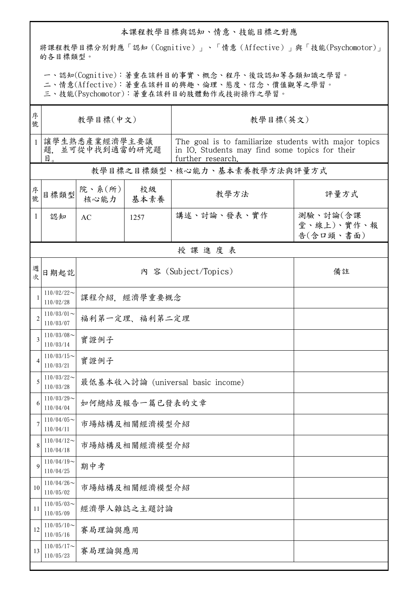## 本課程教學目標與認知、情意、技能目標之對應

將課程教學目標分別對應「認知(Cognitive)」、「情意(Affective)」與「技能(Psychomotor)」 的各目標類型。

一、認知(Cognitive):著重在該科目的事實、概念、程序、後設認知等各類知識之學習。

二、情意(Affective):著重在該科目的興趣、倫理、態度、信念、價值觀等之學習。

三、技能(Psychomotor):著重在該科目的肢體動作或技術操作之學習。

| 序<br>號         | 教學目標(中文)                               |                                   |            | 教學目標(英文)                                                                                                                     |                                     |  |  |  |
|----------------|----------------------------------------|-----------------------------------|------------|------------------------------------------------------------------------------------------------------------------------------|-------------------------------------|--|--|--|
| $\mathbf{1}$   | 讓學生熟悉產業經濟學主要議<br>題. 並可從中找到適當的研究題<br>目。 |                                   |            | The goal is to familiarize students with major topics<br>in IO. Students may find some topics for their<br>further research. |                                     |  |  |  |
|                | 教學目標之目標類型、核心能力、基本素養教學方法與評量方式           |                                   |            |                                                                                                                              |                                     |  |  |  |
| 序號             | 目標類型                                   | 院、系(所)<br>核心能力                    | 校級<br>基本素養 | 教學方法                                                                                                                         | 評量方式                                |  |  |  |
| 1              | 認知                                     | AC                                | 1257       | 講述、討論、發表、實作                                                                                                                  | 測驗、討論(含課<br>堂、線上)、實作、報<br>告(含口頭、書面) |  |  |  |
| 授課進度表          |                                        |                                   |            |                                                                                                                              |                                     |  |  |  |
| 週<br>次         | 日期起訖                                   | 內 容 (Subject/Topics)<br>備註        |            |                                                                                                                              |                                     |  |  |  |
|                | $110/02/22$ ~<br>110/02/28             | 課程介紹,經濟學重要概念                      |            |                                                                                                                              |                                     |  |  |  |
| $\overline{c}$ | $110/03/01$ ~<br>110/03/07             | 福利第一定理、福利第二定理                     |            |                                                                                                                              |                                     |  |  |  |
| 3              | $110/03/08$ ~<br>110/03/14             | 實證例子                              |            |                                                                                                                              |                                     |  |  |  |
| 4              | $110/03/15$ ~<br>110/03/21             | 實證例子                              |            |                                                                                                                              |                                     |  |  |  |
| 5              | $110/03/22$ ~<br>110/03/28             | 最低基本收入討論 (universal basic income) |            |                                                                                                                              |                                     |  |  |  |
| 6              | $110/03/29$ ~<br>110/04/04             | 如何總結及報告一篇已發表的文章                   |            |                                                                                                                              |                                     |  |  |  |
| 7              | $110/04/05$ ~<br>110/04/11             | 市場結構及相關經濟模型介紹                     |            |                                                                                                                              |                                     |  |  |  |
| 8              | $110/04/12$ ~<br>110/04/18             | 市場結構及相關經濟模型介紹                     |            |                                                                                                                              |                                     |  |  |  |
| 9              | $110/04/19$ ~<br>110/04/25             | 期中考                               |            |                                                                                                                              |                                     |  |  |  |
| 10             | $110/04/26$ ~<br>110/05/02             | 市場結構及相關經濟模型介紹                     |            |                                                                                                                              |                                     |  |  |  |
| 11             | $110/05/03$ ~<br>110/05/09             | 經濟學人雜誌之主題討論                       |            |                                                                                                                              |                                     |  |  |  |
| 12             | $110/05/10$ ~<br>110/05/16             | 賽局理論與應用                           |            |                                                                                                                              |                                     |  |  |  |
| 13             | $110/05/17$ ~<br>110/05/23             | 賽局理論與應用                           |            |                                                                                                                              |                                     |  |  |  |